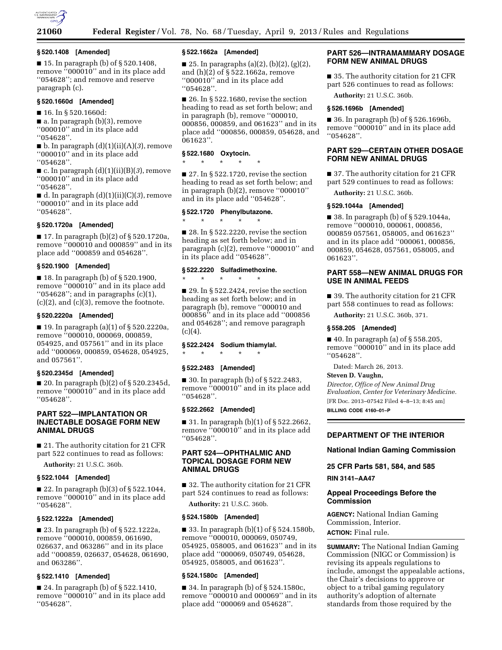

## **§ 520.1408 [Amended]**

■ 15. In paragraph (b) of § 520.1408, remove ''000010'' and in its place add ''054628''; and remove and reserve paragraph (c).

## **§ 520.1660d [Amended]**

■ 16. In § 520.1660d:

■ a. In paragraph (b)(3), remove ''000010'' and in its place add ''054628''.

■ b. In paragraph (d)(1)(ii)(A)(*3*), remove ''000010'' and in its place add ''054628''.

 $\blacksquare$  c. In paragraph  $(d)(1)(ii)(B)(3)$ , remove ''000010'' and in its place add ''054628''.

■ d. In paragraph (d)(1)(ii)(C)(*3*), remove ''000010'' and in its place add ''054628''.

### **§ 520.1720a [Amended]**

 $\blacksquare$  17. In paragraph (b)(2) of § 520.1720a, remove ''000010 and 000859'' and in its place add ''000859 and 054628''.

## **§ 520.1900 [Amended]**

■ 18. In paragraph (b) of § 520.1900, remove ''000010'' and in its place add " $054628$ "; and in paragraphs  $(c)(1)$ ,  $(c)(2)$ , and  $(c)(3)$ , remove the footnote.

### **§ 520.2220a [Amended]**

■ 19. In paragraph (a)(1) of § 520.2220a, remove ''000010, 000069, 000859, 054925, and 057561'' and in its place add ''000069, 000859, 054628, 054925, and 057561''.

## **§ 520.2345d [Amended]**

■ 20. In paragraph (b)(2) of § 520.2345d, remove ''000010'' and in its place add ''054628''.

## **PART 522—IMPLANTATION OR INJECTABLE DOSAGE FORM NEW ANIMAL DRUGS**

■ 21. The authority citation for 21 CFR part 522 continues to read as follows: **Authority:** 21 U.S.C. 360b.

# **§ 522.1044 [Amended]**

■ 22. In paragraph (b)(3) of § 522.1044, remove ''000010'' and in its place add ''054628''.

# **§ 522.1222a [Amended]**

■ 23. In paragraph (b) of § 522.1222a, remove ''000010, 000859, 061690, 026637, and 063286'' and in its place add ''000859, 026637, 054628, 061690, and 063286''.

# **§ 522.1410 [Amended]**

■ 24. In paragraph (b) of § 522.1410, remove ''000010'' and in its place add ''054628''.

### **§ 522.1662a [Amended]**

■ 25. In paragraphs (a)(2), (b)(2), (g)(2), and (h)(2) of § 522.1662a, remove ''000010'' and in its place add ''054628''.

 $\blacksquare$  26. In § 522.1680, revise the section heading to read as set forth below; and in paragraph (b), remove ''000010, 000856, 000859, and 061623'' and in its place add ''000856, 000859, 054628, and 061623''.

### **§ 522.1680 Oxytocin.**

\* \* \* \* \*

 $\blacksquare$  27. In § 522.1720, revise the section heading to read as set forth below; and in paragraph (b)(2), remove ''000010'' and in its place add ''054628''.

## **§ 522.1720 Phenylbutazone.**

\* \* \* \* \*

■ 28. In § 522.2220, revise the section heading as set forth below; and in paragraph (c)(2), remove ''000010'' and in its place add ''054628''.

## **§ 522.2220 Sulfadimethoxine.**

\* \* \* \* \*  $\blacksquare$  29. In § 522.2424, revise the section heading as set forth below; and in paragraph (b), remove ''000010 and 000856'' and in its place add ''000856 and 054628''; and remove paragraph  $(c)(4).$ 

### **§ 522.2424 Sodium thiamylal.**

\* \* \* \* \*

### **§ 522.2483 [Amended]**

■ 30. In paragraph (b) of § 522.2483, remove "000010" and in its place add ''054628''.

## **§ 522.2662 [Amended]**

■ 31. In paragraph (b)(1) of § 522.2662, remove ''000010'' and in its place add ''054628''.

## **PART 524—OPHTHALMIC AND TOPICAL DOSAGE FORM NEW ANIMAL DRUGS**

■ 32. The authority citation for 21 CFR part 524 continues to read as follows:

**Authority:** 21 U.S.C. 360b.

### **§ 524.1580b [Amended]**

■ 33. In paragraph (b)(1) of § 524.1580b, remove ''000010, 000069, 050749, 054925, 058005, and 061623'' and in its place add ''000069, 050749, 054628, 054925, 058005, and 061623''.

### **§ 524.1580c [Amended]**

■ 34. In paragraph (b) of § 524.1580c, remove ''000010 and 000069'' and in its place add ''000069 and 054628''.

# **PART 526—INTRAMAMMARY DOSAGE FORM NEW ANIMAL DRUGS**

■ 35. The authority citation for 21 CFR part 526 continues to read as follows:

**Authority:** 21 U.S.C. 360b.

### **§ 526.1696b [Amended]**

■ 36. In paragraph (b) of § 526.1696b, remove ''000010'' and in its place add ''054628''.

# **PART 529—CERTAIN OTHER DOSAGE FORM NEW ANIMAL DRUGS**

■ 37. The authority citation for 21 CFR part 529 continues to read as follows:

**Authority:** 21 U.S.C. 360b.

### **§ 529.1044a [Amended]**

■ 38. In paragraph (b) of § 529.1044a, remove ''000010, 000061, 000856, 000859 057561, 058005, and 061623'' and in its place add ''000061, 000856, 000859, 054628, 057561, 058005, and 061623''.

## **PART 558—NEW ANIMAL DRUGS FOR USE IN ANIMAL FEEDS**

■ 39. The authority citation for 21 CFR part 558 continues to read as follows:

**Authority:** 21 U.S.C. 360b, 371.

## **§ 558.205 [Amended]**

■ 40. In paragraph (a) of § 558.205, remove ''000010'' and in its place add ''054628''.

Dated: March 26, 2013.

## **Steven D. Vaughn,**

*Director, Office of New Animal Drug Evaluation, Center for Veterinary Medicine.*  [FR Doc. 2013–07542 Filed 4–8–13; 8:45 am] **BILLING CODE 4160–01–P** 

### **DEPARTMENT OF THE INTERIOR**

### **National Indian Gaming Commission**

**25 CFR Parts 581, 584, and 585** 

**RIN 3141–AA47** 

## **Appeal Proceedings Before the Commission**

**AGENCY:** National Indian Gaming Commission, Interior. **ACTION:** Final rule.

**SUMMARY:** The National Indian Gaming Commission (NIGC or Commission) is revising its appeals regulations to include, amongst the appealable actions, the Chair's decisions to approve or object to a tribal gaming regulatory authority's adoption of alternate standards from those required by the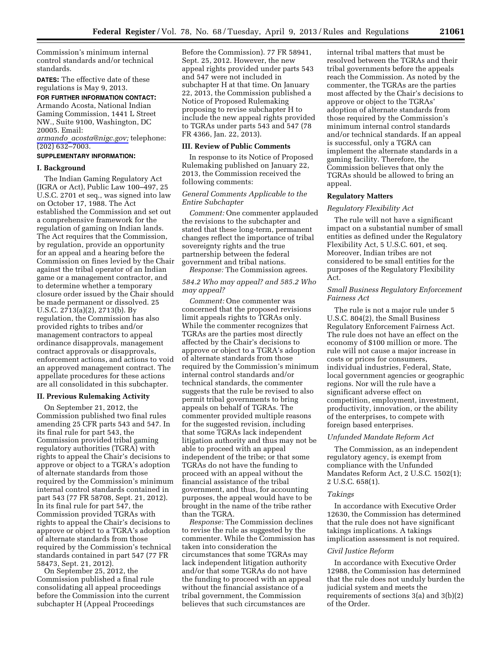Commission's minimum internal control standards and/or technical standards.

**DATES:** The effective date of these regulations is May 9, 2013.

**FOR FURTHER INFORMATION CONTACT:**  Armando Acosta, National Indian Gaming Commission, 1441 L Street NW., Suite 9100, Washington, DC 20005. Email:

*armando*\_*[acosta@nigc.gov;](mailto:armando_acosta@nigc.gov)* telephone: (202) 632–7003.

# **SUPPLEMENTARY INFORMATION:**

#### **I. Background**

The Indian Gaming Regulatory Act (IGRA or Act), Public Law 100–497, 25 U.S.C. 2701 et seq., was signed into law on October 17, 1988. The Act established the Commission and set out a comprehensive framework for the regulation of gaming on Indian lands. The Act requires that the Commission, by regulation, provide an opportunity for an appeal and a hearing before the Commission on fines levied by the Chair against the tribal operator of an Indian game or a management contractor, and to determine whether a temporary closure order issued by the Chair should be made permanent or dissolved. 25 U.S.C. 2713(a)(2), 2713(b). By regulation, the Commission has also provided rights to tribes and/or management contractors to appeal ordinance disapprovals, management contract approvals or disapprovals, enforcement actions, and actions to void an approved management contract. The appellate procedures for these actions are all consolidated in this subchapter.

### **II. Previous Rulemaking Activity**

On September 21, 2012, the Commission published two final rules amending 25 CFR parts 543 and 547. In its final rule for part 543, the Commission provided tribal gaming regulatory authorities (TGRA) with rights to appeal the Chair's decisions to approve or object to a TGRA's adoption of alternate standards from those required by the Commission's minimum internal control standards contained in part 543 (77 FR 58708, Sept. 21, 2012). In its final rule for part 547, the Commission provided TGRAs with rights to appeal the Chair's decisions to approve or object to a TGRA's adoption of alternate standards from those required by the Commission's technical standards contained in part 547 (77 FR 58473, Sept. 21, 2012).

On September 25, 2012, the Commission published a final rule consolidating all appeal proceedings before the Commission into the current subchapter H (Appeal Proceedings

Before the Commission). 77 FR 58941, Sept. 25, 2012. However, the new appeal rights provided under parts 543 and 547 were not included in subchapter H at that time. On January 22, 2013, the Commission published a Notice of Proposed Rulemaking proposing to revise subchapter H to include the new appeal rights provided to TGRAs under parts 543 and 547 (78 FR 4366, Jan. 22, 2013).

#### **III. Review of Public Comments**

In response to its Notice of Proposed Rulemaking published on January 22, 2013, the Commission received the following comments:

## *General Comments Applicable to the Entire Subchapter*

*Comment:* One commenter applauded the revisions to the subchapter and stated that these long-term, permanent changes reflect the importance of tribal sovereignty rights and the true partnership between the federal government and tribal nations.

*Response:* The Commission agrees.

# *584.2 Who may appeal? and 585.2 Who may appeal?*

*Comment:* One commenter was concerned that the proposed revisions limit appeals rights to TGRAs only. While the commenter recognizes that TGRAs are the parties most directly affected by the Chair's decisions to approve or object to a TGRA's adoption of alternate standards from those required by the Commission's minimum internal control standards and/or technical standards, the commenter suggests that the rule be revised to also permit tribal governments to bring appeals on behalf of TGRAs. The commenter provided multiple reasons for the suggested revision, including that some TGRAs lack independent litigation authority and thus may not be able to proceed with an appeal independent of the tribe; or that some TGRAs do not have the funding to proceed with an appeal without the financial assistance of the tribal government, and thus, for accounting purposes, the appeal would have to be brought in the name of the tribe rather than the TGRA.

*Response:* The Commission declines to revise the rule as suggested by the commenter. While the Commission has taken into consideration the circumstances that some TGRAs may lack independent litigation authority and/or that some TGRAs do not have the funding to proceed with an appeal without the financial assistance of a tribal government, the Commission believes that such circumstances are

internal tribal matters that must be resolved between the TGRAs and their tribal governments before the appeals reach the Commission. As noted by the commenter, the TGRAs are the parties most affected by the Chair's decisions to approve or object to the TGRAs' adoption of alternate standards from those required by the Commission's minimum internal control standards and/or technical standards. If an appeal is successful, only a TGRA can implement the alternate standards in a gaming facility. Therefore, the Commission believes that only the TGRAs should be allowed to bring an appeal.

#### **Regulatory Matters**

### *Regulatory Flexibility Act*

The rule will not have a significant impact on a substantial number of small entities as defined under the Regulatory Flexibility Act, 5 U.S.C. 601, et seq. Moreover, Indian tribes are not considered to be small entities for the purposes of the Regulatory Flexibility Act.

## *Small Business Regulatory Enforcement Fairness Act*

The rule is not a major rule under 5 U.S.C. 804(2), the Small Business Regulatory Enforcement Fairness Act. The rule does not have an effect on the economy of \$100 million or more. The rule will not cause a major increase in costs or prices for consumers, individual industries, Federal, State, local government agencies or geographic regions. Nor will the rule have a significant adverse effect on competition, employment, investment, productivity, innovation, or the ability of the enterprises, to compete with foreign based enterprises.

### *Unfunded Mandate Reform Act*

The Commission, as an independent regulatory agency, is exempt from compliance with the Unfunded Mandates Reform Act, 2 U.S.C. 1502(1); 2 U.S.C. 658(1).

#### *Takings*

In accordance with Executive Order 12630, the Commission has determined that the rule does not have significant takings implications. A takings implication assessment is not required.

### *Civil Justice Reform*

In accordance with Executive Order 12988, the Commission has determined that the rule does not unduly burden the judicial system and meets the requirements of sections 3(a) and 3(b)(2) of the Order.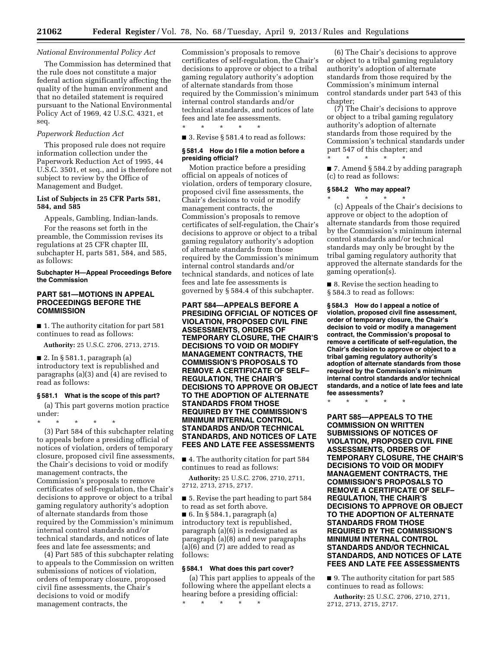### *National Environmental Policy Act*

The Commission has determined that the rule does not constitute a major federal action significantly affecting the quality of the human environment and that no detailed statement is required pursuant to the National Environmental Policy Act of 1969, 42 U.S.C. 4321, et seq.

## *Paperwork Reduction Act*

This proposed rule does not require information collection under the Paperwork Reduction Act of 1995, 44 U.S.C. 3501, et seq., and is therefore not subject to review by the Office of Management and Budget.

## **List of Subjects in 25 CFR Parts 581, 584, and 585**

Appeals, Gambling, Indian-lands.

For the reasons set forth in the preamble, the Commission revises its regulations at 25 CFR chapter III, subchapter H, parts 581, 584, and 585, as follows:

## **Subchapter H—Appeal Proceedings Before the Commission**

## **PART 581—MOTIONS IN APPEAL PROCEEDINGS BEFORE THE COMMISSION**

■ 1. The authority citation for part 581 continues to read as follows:

**Authority:** 25 U.S.C. 2706, 2713, 2715.

 $\blacksquare$  2. In § 581.1, paragraph (a) introductory text is republished and paragraphs (a)(3) and (4) are revised to read as follows:

### **§ 581.1 What is the scope of this part?**

(a) This part governs motion practice under:

\* \* \* \* \* (3) Part 584 of this subchapter relating to appeals before a presiding official of notices of violation, orders of temporary closure, proposed civil fine assessments, the Chair's decisions to void or modify management contracts, the Commission's proposals to remove certificates of self-regulation, the Chair's decisions to approve or object to a tribal gaming regulatory authority's adoption of alternate standards from those required by the Commission's minimum internal control standards and/or technical standards, and notices of late fees and late fee assessments; and

(4) Part 585 of this subchapter relating to appeals to the Commission on written submissions of notices of violation, orders of temporary closure, proposed civil fine assessments, the Chair's decisions to void or modify management contracts, the

Commission's proposals to remove certificates of self-regulation, the Chair's decisions to approve or object to a tribal gaming regulatory authority's adoption of alternate standards from those required by the Commission's minimum internal control standards and/or technical standards, and notices of late fees and late fee assessments. \* \* \* \* \*

■ 3. Revise § 581.4 to read as follows:

#### **§ 581.4 How do I file a motion before a presiding official?**

Motion practice before a presiding official on appeals of notices of violation, orders of temporary closure, proposed civil fine assessments, the Chair's decisions to void or modify management contracts, the Commission's proposals to remove certificates of self-regulation, the Chair's decisions to approve or object to a tribal gaming regulatory authority's adoption of alternate standards from those required by the Commission's minimum internal control standards and/or technical standards, and notices of late fees and late fee assessments is governed by § 584.4 of this subchapter.

**PART 584—APPEALS BEFORE A PRESIDING OFFICIAL OF NOTICES OF VIOLATION, PROPOSED CIVIL FINE ASSESSMENTS, ORDERS OF TEMPORARY CLOSURE, THE CHAIR'S DECISIONS TO VOID OR MODIFY MANAGEMENT CONTRACTS, THE COMMISSION'S PROPOSALS TO REMOVE A CERTIFICATE OF SELF– REGULATION, THE CHAIR'S DECISIONS TO APPROVE OR OBJECT TO THE ADOPTION OF ALTERNATE STANDARDS FROM THOSE REQUIRED BY THE COMMISSION'S MINIMUM INTERNAL CONTROL STANDARDS AND/OR TECHNICAL STANDARDS, AND NOTICES OF LATE FEES AND LATE FEE ASSESSMENTS** 

■ 4. The authority citation for part 584 continues to read as follows:

**Authority:** 25 U.S.C. 2706, 2710, 2711, 2712, 2713, 2715, 2717.

■ 5. Revise the part heading to part 584 to read as set forth above. ■ 6. In § 584.1, paragraph (a) introductory text is republished, paragraph (a)(6) is redesignated as paragraph (a)(8) and new paragraphs (a)(6) and (7) are added to read as

### **§ 584.1 What does this part cover?**

follows:

(a) This part applies to appeals of the following where the appellant elects a hearing before a presiding official: \* \* \* \* \*

(6) The Chair's decisions to approve or object to a tribal gaming regulatory authority's adoption of alternate standards from those required by the Commission's minimum internal control standards under part 543 of this chapter;

(7) The Chair's decisions to approve or object to a tribal gaming regulatory authority's adoption of alternate standards from those required by the Commission's technical standards under part 547 of this chapter; and \* \* \* \* \*

■ 7. Amend § 584.2 by adding paragraph (c) to read as follows:

#### **§ 584.2 Who may appeal?**  \* \* \* \* \*

(c) Appeals of the Chair's decisions to approve or object to the adoption of alternate standards from those required by the Commission's minimum internal control standards and/or technical standards may only be brought by the tribal gaming regulatory authority that approved the alternate standards for the gaming operation(s).

■ 8. Revise the section heading to § 584.3 to read as follows:

**§ 584.3 How do I appeal a notice of violation, proposed civil fine assessment, order of temporary closure, the Chair's decision to void or modify a management contract, the Commission's proposal to remove a certificate of self-regulation, the Chair's decision to approve or object to a tribal gaming regulatory authority's adoption of alternate standards from those required by the Commission's minimum internal control standards and/or technical standards, and a notice of late fees and late fee assessments?** 

\* \* \* \* \*

**PART 585—APPEALS TO THE COMMISSION ON WRITTEN SUBMISSIONS OF NOTICES OF VIOLATION, PROPOSED CIVIL FINE ASSESSMENTS, ORDERS OF TEMPORARY CLOSURE, THE CHAIR'S DECISIONS TO VOID OR MODIFY MANAGEMENT CONTRACTS, THE COMMISSION'S PROPOSALS TO REMOVE A CERTIFICATE OF SELF– REGULATION, THE CHAIR'S DECISIONS TO APPROVE OR OBJECT TO THE ADOPTION OF ALTERNATE STANDARDS FROM THOSE REQUIRED BY THE COMMISSION'S MINIMUM INTERNAL CONTROL STANDARDS AND/OR TECHNICAL STANDARDS, AND NOTICES OF LATE FEES AND LATE FEE ASSESSMENTS** 

■ 9. The authority citation for part 585 continues to read as follows:

**Authority:** 25 U.S.C. 2706, 2710, 2711, 2712, 2713, 2715, 2717.